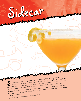The sidecar, a World War I officer asked a bartender for under the mid 18th a warming drink. Derived no doubt from the Brandy Crusta invented in New Orleans in the mid 18th a warming drink. Derived no doubt from the Brandy **Continuity** of the Sidecar was most likely invented in Paris. Lu's advice to the uncertain: "This is a big beautiful century, the Sidecar was most likely invented in Paris. Lu's advice to the uncertain: "This is a big bea drink for a connoisseur of cocktails." We're on a mission to help revive this fabulous old cocktail! It's made with domestic brandy rather than the usual Cognac and has a lighter mouth feel. If you prefer a bolder taste, substitute Cognac for domestic brandy and a touch more fresh lemon juice for what Lu calls "the perfect Sidecar." - From *In The Land of Cocktails* by Ti Adelaide Martin and Lally Brennan.

Sidecar Sidecar